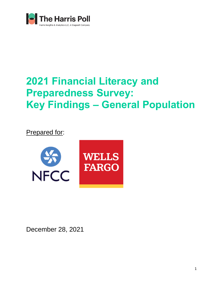

# **2021 Financial Literacy and Preparedness Survey: Key Findings – General Population**

Prepared for:



December 28, 2021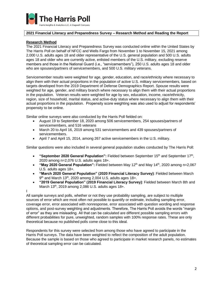

#### **2021 Financial Literacy and Preparedness Survey – Research Method and Reading the Report**

#### **Research Method**

The 2021 Financial Literacy and Preparedness Survey was conducted online within the United States by The Harris Poll on behalf of NFCC and Wells Fargo from November 1 to November 15, 2021 among 2,000 U.S. adults ages 18 and older representative of the U.S. general population and 500 U.S. adults ages 18 and older who are currently active, enlisted members of the U.S. military, excluding reserve members and those in the National Guard (i.e., "servicemembers"), 250 U.S. adults ages 18 and older who are spouses/partners of servicemembers, and 500 U.S. military veterans.

Servicemember results were weighted for age, gender, education, and race/ethnicity where necessary to align them with their actual proportions in the population of active U.S. military servicemembers, based on targets developed from the 2019 Department of Defense Demographics Report. Spouse results were weighted for age, gender, and military branch where necessary to align them with their actual proportions in the population. Veteran results were weighted for age by sex, education, income, race/ethnicity, region, size of household, marital status, and active-duty status where necessary to align them with their actual proportions in the population. Propensity score weighting was also used to adjust for respondents' propensity to be online.

Similar online surveys were also conducted by the Harris Poll fielded on:

- August 19 to September 18, 2020 among 506 servicemembers, 254 spouses/partners of servicemembers, and 516 veterans
- March 20 to April 16, 2019 among 531 servicemembers and 439 spouses/partners of servicemembers.
- April 7 and April 15, 2014, among 267 active servicemembers in the U.S. military.

Similar questions were also included in several general population studies conducted by The Harris Poll:

- **"September 2020 General Population":** Fielded between September 15<sup>th</sup> and September 17<sup>th</sup>, 2020 among n=2,076 U.S. adults ages 18+.
- **"May 2020 General Population":** Fielded between May 12<sup>th</sup> and May 14<sup>th</sup>, 2020 among n=2,067 U.S. adults ages 18+.
- **"March 2020 General Population" (2020 Financial Literacy Survey)**: Fielded between March  $9<sup>th</sup>$  and March 13<sup>th</sup>, 2020 among 2,004 U.S. adults ages 18+.
- **"2019 General Population" (2019 Financial Literacy Survey)**: Fielded between March 8th and March 13th, 2019 among 2,086 U.S. adults ages 18+.

I All sample surveys and polls, whether or not they use probability sampling, are subject to multiple sources of error which are most often not possible to quantify or estimate, including sampling error, coverage error, error associated with nonresponse, error associated with question wording and response options, and post-survey weighting and adjustments. Therefore, The Harris Poll avoids the words "margin of error" as they are misleading. All that can be calculated are different possible sampling errors with different probabilities for pure, unweighted, random samples with 100% response rates. These are only theoretical because no published polls come close to this ideal.

Respondents for this survey were selected from among those who have agreed to participate in the Harris Poll surveys. The data have been weighted to reflect the composition of the adult population. Because the sample is based on those who agreed to participate in market research panels, no estimates of theoretical sampling error can be calculated.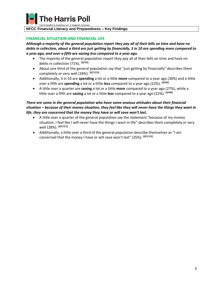

arris Insights & Analytics LLC, A Stagwell Company

#### **NFCC Financial Literacy and Preparedness – Key Findings**

#### **FINANCIAL SITUATION AND FINANCIAL LIFE**

*Although a majority of the general population report they pay all of their bills on time and have no debts in collection, about a third are just getting by financially, 3 in 10 are spending more compared to a year ago, and over a fifth are saving less compared to a year ago.* 

- The majority of the general population report they pay all of their bills on time and have no debts in collection (71%). **[Q710]**
- About one third of the general population say that "just getting by financially" describes them completely or very well (34%). **[Q717/2]**
- Additionally, 3 in 10 are **spending** a lot or a little **more** compared to a year ago (30%) and a little over a fifth are **spending** a lot or a little **less** compared to a year ago (22%). **[Q785]**
- A little over a quarter are **saving** a lot or a little **more** compared to a year ago (27%), while a little over a fifth are **saving** a lot or a little **less** compared to a year ago (22%). **[Q790]**

# *There are some in the general population who have some anxious attitudes about their financial situation – because of their money situation, they feel like they will never have the things they want in life; they are concerned that the money they have or will save won't last.*

- A little over a quarter of the general population say the statement "because of my money situation, I feel like I will never have the things I want in life" describes them completely or very well (28%). **[Q717/1]**
- Additionally, a little over a third of the general population describe themselves as "I am concerned that the money I have or will save won't last" (35%). **[Q717/3]**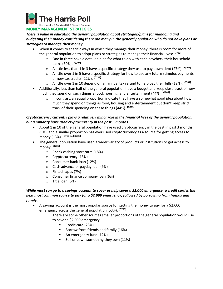

**MONEY MANAGEMENT STRATEGIES**

*There is value in educating the general population about strategies/plans for managing and budgeting their money considering there are many in the general population who do not have plans or strategies to manage their money.*

- When it comes to specific ways in which they manage their money, there is room for more of the general population to adopt plans or strategies to manage their financial lives: **[Q707]**
	- $\circ$  One in three have a detailed plan for what to do with each paycheck their household earns (30%). **[Q707]**
	- o A little less than 1 in 3 have a specific strategy they use to pay down debt (27%). **[Q707]**
	- $\circ$  A little over 1 in 5 have a specific strategy for how to use any future stimulus payments or new tax credits (22%). **[Q707]**
	- o A little over 1 in 10 depend on an annual tax refund to help pay their bills (12%). **[Q707]**
- Additionally, less than half of the general population have a budget and keep close track of how much they spend on such things a food, housing, and entertainment (44%). **[Q705]**
	- $\circ$  In contrast, an equal proportion indicate they have a somewhat good idea about how much they spend on things as food, housing and entertainment but don't keep strict track of their spending on these things (44%). **[Q705]**

# *Cryptocurrency currently plays a relatively minor role in the financial lives of the general population, but a minority have used cryptocurrency in the past 3 months.*

- About 1 in 10 of the general population have used cryptocurrency in the past in past 3 months (9%), and a similar proportion has ever used cryptocurrency as a source for getting access to money (13%). **[Q712 and Q706]**
- The general population have used a wider variety of products or institutions to get access to money: **[Q706]**
	- o Check cashing store/atm (18%)
	- o Cryptocurrency (13%)
	- o Consumer bank loan (12%)
	- o Cash advance or payday loan (9%)
	- o Fintech apps (7%)
	- o Consumer finance company loan (6%)
	- o Title loan (6%)

## *While most can go to a savings account to cover or help cover a \$2,000 emergency, a credit card is the next most common source to pay for a \$2,000 emergency, followed by borrowing from friends and family.*

- A savings account is the most popular source for getting the money to pay for a \$2,000 emergency across the general population (53%). **[Q733]**
	- $\circ$  There are some other sources smaller proportions of the general population would use to cover a \$2,000 emergency:
		- Credit card (28%)
		- Borrow from friends and family (16%)
		- An emergency fund (12%)
		- Sell or pawn something they own (11%)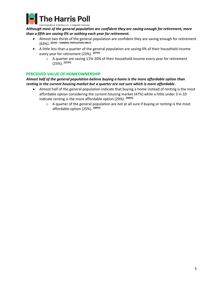

Harris Insights & Analytics LLC, A Stagwell Company

*Although most of the general population are confident they are saving enough for retirement, more than a fifth are saving 0% or nothing each year for retirement.*

- Almost two thirds of the general population are confident they are saving enough for retirement (63%). **[Q740 – GENERAL POPULATION ONLY]**
- A little less than a quarter of the general population are saving 0% of their household income every year for retirement (23%). **[Q735]**
	- $\circ$  A quarter are saving 11%-20% of their household income every year for retirement (25%). **[Q735]**

## **PERCEIVED VALUE OF HOMEOWNERSHIP**

## *Almost half of the general population believe buying a home is the more affordable option than renting in the current housing market but a quarter are not sure which is more affordable.*

- Almost half of the general population indicate that buying a home instead of renting is the most affordable option considering the current housing market (47%) while a little under 3 in 10 indicate renting is the more affordable option (29%). **[Q835]**
	- o A quarter of the general population are not at all sure if buying or renting is the most affordable option (25%). **[Q835]**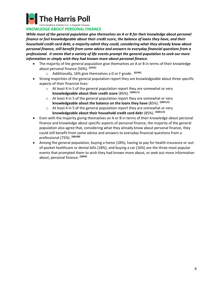

**KNOWLEDGE ABOUT PERSONAL FINANCE**

*While most of the general population give themselves an A or B for their knowledge about personal finance or feel knowledgeable about their credit score, the balance of loans they have, and their household credit card debt, a majority admit they could, considering what they already know about personal finance, still benefit from some advice and answers to everyday financial questions from a professional. It seems that a variety of life events prompt the general population to seek our more information or simply wish they had known more about personal finance.*

- The majority of the general population give themselves an A or B in terms of their knowledge about personal finance (56%). **[Q795]**
	- o Additionally, 16% give themselves a D or F grade . **[Q795]**
- Strong majorities of the general population report they are knowledgeable about three specific aspects of their financial lives:
	- o At least 4 in 5 of the general population report they are somewhat or very **knowledgeable about their credit score** (85%). **[Q901/1]**
	- o At least 4 in 5 of the general population report they are somewhat or very **knowledgeable about the balance on the loans they have** (85%). **[Q901/2]**
	- o At least 4 in 5 of the general population report they are somewhat or very **knowledgeable about their household credit card deb**t (85%). **[Q901/3]**
- Even with the majority giving themselves an A or B in terms of their knowledge about personal finance and knowledge about specific aspects of personal finance, the majority of the general population also agree that, considering what they already know about personal finance, they could still benefit from some advice and answers to everyday financial questions from a professional (75%). **[Q810B]**
- Among the general population, buying a home (18%), having to pay for health insurance or outof-pocket healthcare or dental bills (18%), and buying a car (16%) are the three most popular events that prompted them to wish they had known more about, or seek out more information about, personal finance. **[Q904]**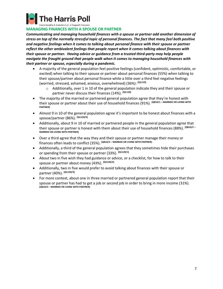

arris Insights & Analytics LLC, A Stagwell Company

# **MANAGING FINANCES WITH A SPOUSE OR PARTNER**

*Communicating and managing household finances with a spouse or partner add another dimension of stress on top of the normally stressful topic of personal finances. The fact that many feel both positive and negative feelings when it comes to talking about personal finance with their spouse or partner reflect the other ambivalent feelings that people report when it comes talking about finances with their spouse or partner. Having advice or guidance from a trusted third-party may help people navigate the fraught ground that people walk when it comes to managing household finances with their partner or spouse, especially during a pandemic.*

- A majority of the general population feel positive feelings (confident, optimistic, comfortable, or excited) when talking to their spouse or partner about personal finances (55%) when talking to their spouse/partner about personal finance while a little over a third feel negative feelings (worried, stressed, ashamed, anxious, overwhelmed) (36%): **[Q1110]**
	- o Additionally, over 1 in 10 of the general population indicate they and their spouse or partner never discuss their finances (14%). **[Q1110]**
- The majority of the married or partnered general population agree that they're honest with their spouse or partner about their use of household finances (91%). **[Q810/1 – MARRIED OR LIVING WITH PARTNER]**
- Almost 9 in 10 of the general population agree it's important to be honest about finances with a spouse/partner (86%). **[Q1120/4]**
- Additionally, about 9 in 10 of married or partnered people in the general population agree that their spouse or partner is honest with them about their use of household finances (88%). **[Q810/2 – MARRIED OR LIVING WITH PARTNER]**
- Over a third agree that the way they and their spouse or partner manage their money or finances often leads to conflict (35%). **[Q810/3 – MARRIED OR LIVING WITH PARTNER]**
- Additionally, a third of the general population agrees that they sometimes hide their purchases or spending from their spouse or partner (33%). **[Q1120/1]**
- About two in five wish they had guidance or advice, or a checklist, for how to talk to their spouse or partner about money (43%). **[Q1120/2]**
- Additionally, two in five would prefer to avoid talking about finances with their spouse or partner (40%). **[Q1120/3]**
- For more context, about one in three married or partnered general population report that their spouse or partner has had to get a job or second job in order to bring in more income (31%). **[Q810/4 – MARRIED OR LIVING WITH PARTNER]**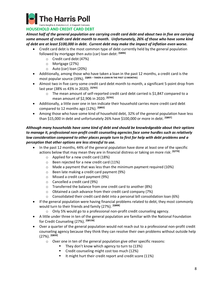

# **HOUSEHOLD AND CREDIT CARD DEBT**

*Almost half of the general population are carrying credit card debt and about two in five are carrying some amount of credit card debt month to month. Unfortunately, 26% of those who have some kind of debt are at least \$100,000 in debt. Current debt may make the impact of inflation even worse.*

- Credit card debt is the most common type of debt currently held by the general population followed by mortgage then auto (car) loan debt: **[Q806]**
	- o Credit card debt (47%)
	- o Mortgage (27%)
	- o Auto (car) loan (20%)
- Additionally, among those who have taken a loan in the past 12 months, a credit card is the most popular source (39%). **[Q805 – TAKEN A LOAN IN THE PAST 12 MONTHS]**
- Almost two in five carry some credit card debt month to month, a significant 5-point drop from last year (38% vs 43% in 2020). **[Q765]**
	- $\circ$  The mean amount of self-reported credit card debt carried is \$1,847 compared to a mean amount of \$2,906 in 2020. **[Q765]**
- Additionally, a little over one in ten indicate their household carries more credit card debt compared to 12 months ago (12%). **[Q802]**
- Among those who have some kind of household debt, 32% of the general population have less than \$15,000 in debt and unfortunately 26% have \$100,000 or more in debt. **[Q807]**

# *Although many households have some kind of debt and should be knowledgeable about their options to manage it, professional non-profit credit counseling agencies face some hurdles such as relatively low consideration compared to other places people turn to first for help with debt problems and a perception that other options are less stressful to use.*

- In the past 12 months, 44% of the general population have done at least one of the specific actions below that may mean they are in financial distress or taking on more risk: **[Q770]**
	- o Applied for a new credit card (18%)
	- o Been rejected for a new credit card (11%)
	- $\circ$  Made a payment that was less than the minimum payment required (10%)
	- o Been late making a credit card payment (9%)
	- o Missed a credit card payment (9%)
	- o Cancelled a credit card (9%)
	- o Transferred the balance from one credit card to another (8%)
	- o Obtained a cash advance from their credit card company (7%)
	- o Consolidated their credit card debt into a personal bill consolidation loan (6%)
- If the general population were having financial problems related to debt, they most commonly would turn to their friends and family (27%). **[Q808]**
	- o Only 5% would go to a professional non-profit credit counseling agency.
- A little under three in ten of the general population are familiar with the National Foundation for Credit Counseling (27%). **[Q815B]**
- Over a quarter of the general population would not reach out to a professional non-profit credit counseling agency because they think they can resolve their own problems without outside help (27%). **[Q820]**
	- o Over one in ten of the general population give other specific reasons:
		- They don't know which agency to turn to (13%)
		- Credit counseling might cost too much (12%)
		- It might hurt their credit report and credit score (11%)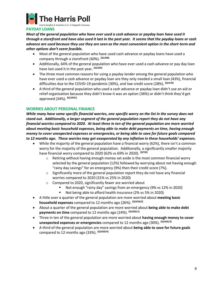

## **PAYDAY LOANS**

*Most of the general population who have ever used a cash advance or payday loan have used it through a storefront and have also used it last in the past year. It seems that the payday loans or cash advance are used because they use they are seen as the most convenient option in the short-term and other options don't seem feasible.*

- Most of the general population who have used cash advance or payday loans have used a company through a storefront (60%). **[Q1200]**
- Additionally, 64% of the general population who have ever used a cash advance or pay day loan have last used it in the past year. **[Q1203]**
- The three most common reasons for using a payday lender among the general population who have ever used a cash advance or payday loan are they only needed a small loan (43%), financial difficulties due to the COVID-19 pandemic (30%), and low credit score (28%). **[Q1210]**
- A third of the general population who used a cash advance or payday loan didn't use an aid or relief organization because they didn't know it was an option (36%) or didn't think they'd get approved (34%). **[Q1205C]**

#### **WORRIES ABOUT PERSONAL FINANCE**

*While many have some specific financial worries, one specific worry on the list in the survey does not stand out. Additionally, a larger segment of the general population report they do not have any financial worries compared to 2020. At least three in ten of the general population are more worried about meeting basic household expenses, being able to make debt payments on time, having enough money to cover unexpected expenses or emergencies, or being able to save for future goals compared to 12 months ago. These worries may get exasperated by any inflation in these households' expenses.*

- While the majority of the general population have a financial worry (62%), there isn't a common worry for the majority of the general population. Additionally, a significantly smaller majority have financial worry compared to 2020 (62% vs 69% in 2020). **[Q720]**
	- $\circ$  Retiring without having enough money set aside is the most common financial worry selected by the general population (12%) followed by worrying about not having enough "rainy day savings" for an emergency (9%) then their credit score (7%).
	- $\circ$  Significantly more of the general population report they do not have any financial worries compared to 2020 (31% vs 25% in 2020)
	- o Compared to 2020, significantly fewer are worried about
		- Not enough "rainy day" savings from an emergency (9% vs 12% in 2020)
		- Not being able to afford health insurance (2% vs 5% in 2020)
- A little over a quarter of the general population are more worried about **meeting basic household expenses** compared to 12 months ago (26%). **[Q1020/2]**
- About a quarter of the general population are more worried about **being able to make debt payments on time** compared to 12 months ago (24%). **[Q1020/1]**
- Three in ten of the general population are more worried about **having enough money to cover unexpected expenses or emergencies** compared to 12 months ago (30%). **[Q1020/3]**
- A third of the general population are more worried about **being able to save for future goals** compared to 12 months ago (33%). **[Q1020/4]**